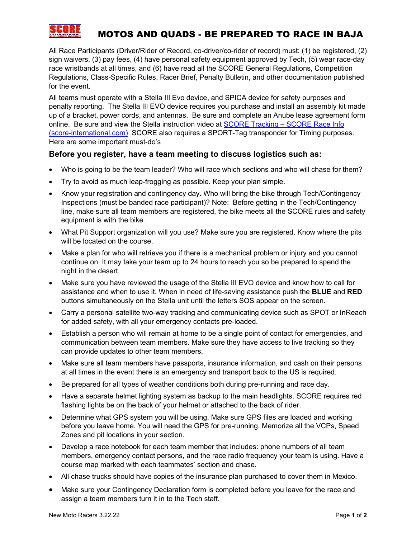

## MOTOS AND QUADS - BE PREPARED TO RACE IN BAJA

All Race Participants (Driver/Rider of Record, co-driver/co-rider of record) must: (1) be registered, (2) sign waivers, (3) pay fees, (4) have personal safety equipment approved by Tech, (5) wear race-day race wristbands at all times, and (6) have read all the SCORE General Regulations, Competition Regulations, Class-Specific Rules, Racer Brief, Penalty Bulletin, and other documentation published for the event.

All teams must operate with a Stella III Evo device, and SPICA device for safety purposes and penalty reporting. The Stella III EVO device requires you purchase and install an assembly kit made up of a bracket, power cords, and antennas. Be sure and complete an Anube lease agreement form online. Be sure and view the Stella instruction video at SCORE Tracking - SCORE Race Info [\(score-international.com\)](http://score-international.com/raceinfo/score-tracking/) SCORE also requires a SPORT-Tag transponder for Timing purposes. Here are some important must-do's

## **Before you register, have a team meeting to discuss logistics such as:**

- Who is going to be the team leader? Who will race which sections and who will chase for them?
- Try to avoid as much leap-frogging as possible. Keep your plan simple.
- Know your registration and contingency day. Who will bring the bike through Tech/Contingency Inspections (must be banded race participant)? Note: Before getting in the Tech/Contingency line, make sure all team members are registered, the bike meets all the SCORE rules and safety equipment is with the bike.
- What Pit Support organization will you use? Make sure you are registered. Know where the pits will be located on the course.
- Make a plan for who will retrieve you if there is a mechanical problem or injury and you cannot continue on. It may take your team up to 24 hours to reach you so be prepared to spend the night in the desert.
- Make sure you have reviewed the usage of the Stella III EVO device and know how to call for assistance and when to use it. When in need of life-saving assistance push the **BLUE** and **RED** buttons simultaneously on the Stella unit until the letters SOS appear on the screen.
- Carry a personal satellite two-way tracking and communicating device such as SPOT or InReach for added safety, with all your emergency contacts pre-loaded.
- Establish a person who will remain at home to be a single point of contact for emergencies, and communication between team members. Make sure they have access to live tracking so they can provide updates to other team members.
- Make sure all team members have passports, insurance information, and cash on their persons at all times in the event there is an emergency and transport back to the US is required.
- Be prepared for all types of weather conditions both during pre-running and race day.
- Have a separate helmet lighting system as backup to the main headlights. SCORE requires red flashing lights be on the back of your helmet or attached to the back of rider.
- Determine what GPS system you will be using. Make sure GPS files are loaded and working before you leave home. You will need the GPS for pre-running. Memorize all the VCPs, Speed Zones and pit locations in your section.
- Develop a race notebook for each team member that includes: phone numbers of all team members, emergency contact persons, and the race radio frequency your team is using. Have a course map marked with each teammates' section and chase.
- All chase trucks should have copies of the insurance plan purchased to cover them in Mexico.
- Make sure your Contingency Declaration form is completed before you leave for the race and assign a team members turn it in to the Tech staff.